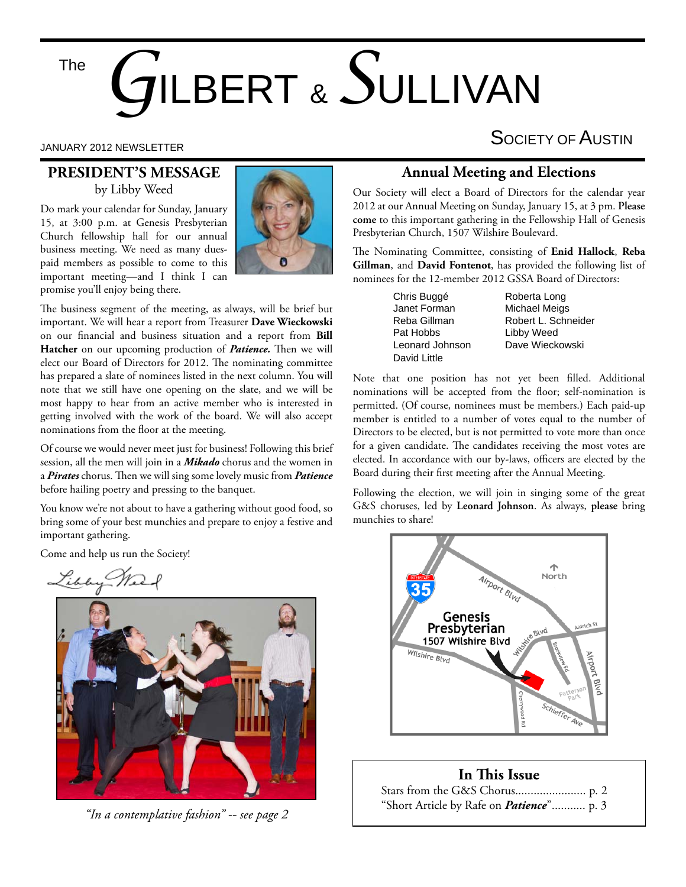The

# *G*ILBERT & *S*ULLIVAN

#### **PRESIDENT'S MESSAGE** by Libby Weed

Do mark your calendar for Sunday, January 15, at 3:00 p.m. at Genesis Presbyterian Church fellowship hall for our annual business meeting. We need as many duespaid members as possible to come to this important meeting—and I think I can promise you'll enjoy being there.



The business segment of the meeting, as always, will be brief but important. We will hear a report from Treasurer **Dave Wieckowski** on our financial and business situation and a report from **Bill** Hatcher on our upcoming production of *Patience*. Then we will elect our Board of Directors for 2012. The nominating committee has prepared a slate of nominees listed in the next column. You will note that we still have one opening on the slate, and we will be most happy to hear from an active member who is interested in getting involved with the work of the board. We will also accept nominations from the floor at the meeting.

Of course we would never meet just for business! Following this brief session, all the men will join in a *Mikado* chorus and the women in a *Pirates* chorus. Then we will sing some lovely music from *Patience* before hailing poetry and pressing to the banquet.

You know we're not about to have a gathering without good food, so bring some of your best munchies and prepare to enjoy a festive and important gathering.

Come and help us run the Society!

Libby We



*"In a contemplative fashion" -- see page 2*

### JANUARY 2012 NEWSLETTER SOCIETY OF  $\mathsf A$ USTIN

#### **Annual Meeting and Elections**

Our Society will elect a Board of Directors for the calendar year 2012 at our Annual Meeting on Sunday, January 15, at 3 pm. **Please come** to this important gathering in the Fellowship Hall of Genesis Presbyterian Church, 1507 Wilshire Boulevard.

The Nominating Committee, consisting of Enid Hallock, Reba **Gillman**, and **David Fontenot**, has provided the following list of nominees for the 12-member 2012 GSSA Board of Directors:

> Chris Buggé **Roberta** Long Janet Forman Michael Meigs David Little

Reba Gillman **Robert L. Schneider**<br>Pat Hobbs **Bills Libby Weed** Libby Weed Leonard Johnson Dave Wieckowski

Note that one position has not yet been filled. Additional nominations will be accepted from the floor; self-nomination is permitted. (Of course, nominees must be members.) Each paid-up member is entitled to a number of votes equal to the number of Directors to be elected, but is not permitted to vote more than once for a given candidate. The candidates receiving the most votes are elected. In accordance with our by-laws, officers are elected by the Board during their first meeting after the Annual Meeting.

Following the election, we will join in singing some of the great G&S choruses, led by **Leonard Johnson**. As always, **please** bring munchies to share!



#### **In This Issue**

| "Short Article by Rafe on <i>Patience</i> " p. 3 |  |
|--------------------------------------------------|--|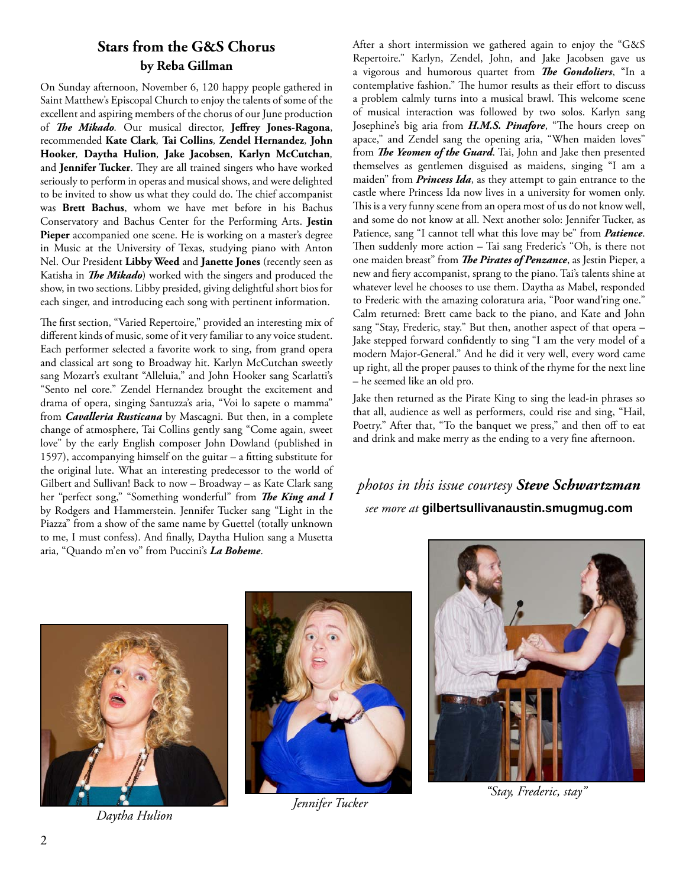#### **Stars from the G&S Chorus by Reba Gillman**

On Sunday afternoon, November 6, 120 happy people gathered in Saint Matthew's Episcopal Church to enjoy the talents of some of the excellent and aspiring members of the chorus of our June production of *The Mikado*. Our musical director, Jeffrey Jones-Ragona, recommended **Kate Clark***,* **Tai Collins***,* **Zendel Hernandez***,* **John Hooker***,* **Daytha Hulion***,* **Jake Jacobsen***,* **Karlyn McCutchan***,*  and Jennifer Tucker. They are all trained singers who have worked seriously to perform in operas and musical shows, and were delighted to be invited to show us what they could do. The chief accompanist was **Brett Bachus**, whom we have met before in his Bachus Conservatory and Bachus Center for the Performing Arts. **Jestin Pieper** accompanied one scene. He is working on a master's degree in Music at the University of Texas, studying piano with Anton Nel. Our President **Libby Weed** and **Janette Jones** (recently seen as Katisha in *The Mikado*) worked with the singers and produced the show, in two sections. Libby presided, giving delightful short bios for each singer, and introducing each song with pertinent information.

The first section, "Varied Repertoire," provided an interesting mix of different kinds of music, some of it very familiar to any voice student. Each performer selected a favorite work to sing, from grand opera and classical art song to Broadway hit. Karlyn McCutchan sweetly sang Mozart's exultant "Alleluia," and John Hooker sang Scarlatti's "Sento nel core." Zendel Hernandez brought the excitement and drama of opera, singing Santuzza's aria, "Voi lo sapete o mamma" from *Cavalleria Rusticana* by Mascagni. But then, in a complete change of atmosphere, Tai Collins gently sang "Come again, sweet love" by the early English composer John Dowland (published in 1597), accompanying himself on the guitar  $-$  a fitting substitute for the original lute. What an interesting predecessor to the world of Gilbert and Sullivan! Back to now – Broadway – as Kate Clark sang her "perfect song," "Something wonderful" from *The King and I* by Rodgers and Hammerstein. Jennifer Tucker sang "Light in the Piazza" from a show of the same name by Guettel (totally unknown to me, I must confess). And finally, Daytha Hulion sang a Musetta aria, "Quando m'en vo" from Puccini's *La Boheme*.

After a short intermission we gathered again to enjoy the "G&S Repertoire." Karlyn, Zendel, John, and Jake Jacobsen gave us a vigorous and humorous quartet from *The Gondoliers*, "In a contemplative fashion." The humor results as their effort to discuss a problem calmly turns into a musical brawl. This welcome scene of musical interaction was followed by two solos. Karlyn sang Josephine's big aria from *H.M.S. Pinafore*, "The hours creep on apace," and Zendel sang the opening aria, "When maiden loves" from *The Yeomen of the Guard*. Tai, John and Jake then presented themselves as gentlemen disguised as maidens, singing "I am a maiden" from *Princess Ida*, as they attempt to gain entrance to the castle where Princess Ida now lives in a university for women only. This is a very funny scene from an opera most of us do not know well, and some do not know at all. Next another solo: Jennifer Tucker, as Patience, sang "I cannot tell what this love may be" from *Patience*. Then suddenly more action - Tai sang Frederic's "Oh, is there not one maiden breast" from *The Pirates of Penzance*, as Jestin Pieper, a new and fiery accompanist, sprang to the piano. Tai's talents shine at whatever level he chooses to use them. Daytha as Mabel, responded to Frederic with the amazing coloratura aria, "Poor wand'ring one." Calm returned: Brett came back to the piano, and Kate and John sang "Stay, Frederic, stay." But then, another aspect of that opera – Jake stepped forward confidently to sing "I am the very model of a modern Major-General." And he did it very well, every word came up right, all the proper pauses to think of the rhyme for the next line – he seemed like an old pro.

Jake then returned as the Pirate King to sing the lead-in phrases so that all, audience as well as performers, could rise and sing, "Hail, Poetry." After that, "To the banquet we press," and then off to eat and drink and make merry as the ending to a very fine afternoon.

#### *photos in this issue courtesy Steve Schwartzman see more at* **gilbertsullivanaustin.smugmug.com**





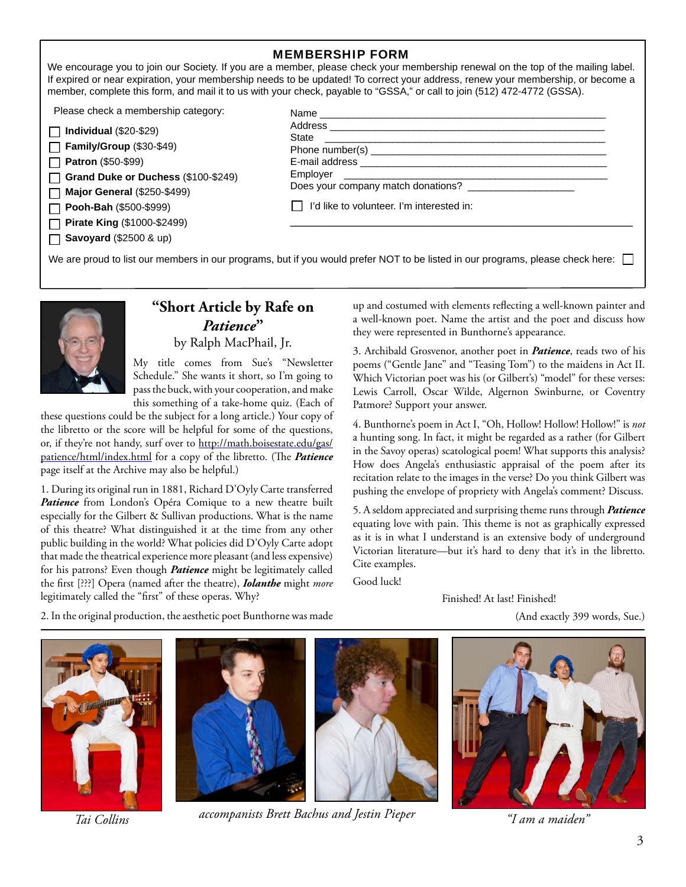#### MEMBERSHIP FORM

We encourage you to join our Society. If you are a member, please check your membership renewal on the top of the mailing label. If expired or near expiration, your membership needs to be updated! To correct your address, renew your membership, or become a member, complete this form, and mail it to us with your check, payable to "GSSA," or call to join (512) 472-4772 (GSSA).

Please check a membership category:

| $\Box$ Individual (\$20-\$29) |
|-------------------------------|
| Family/Group (\$30-\$49)      |

**Patron** (\$50-\$99)

**Grand Duke or Duchess** (\$100-\$249)

**Major General** (\$250-\$499)

**Pooh-Bah** (\$500-\$999)

**Pirate King** (\$1000-\$2499)

**Savoyard** (\$2500 & up)

| State                                                                                                                                                                                                                          | <u> 1980 - John Stein, Amerikaansk kanton (</u> |  |
|--------------------------------------------------------------------------------------------------------------------------------------------------------------------------------------------------------------------------------|-------------------------------------------------|--|
|                                                                                                                                                                                                                                |                                                 |  |
|                                                                                                                                                                                                                                |                                                 |  |
| Employer and the contract of the contract of the contract of the contract of the contract of the contract of the contract of the contract of the contract of the contract of the contract of the contract of the contract of t |                                                 |  |
|                                                                                                                                                                                                                                | Does your company match donations?              |  |
| I'd like to volunteer. I'm interested in:                                                                                                                                                                                      |                                                 |  |

We are proud to list our members in our programs, but if you would prefer NOT to be listed in our programs, please check here:



#### **"Short Article by Rafe on**  *Patience***"**

by Ralph MacPhail, Jr.

My title comes from Sue's "Newsletter Schedule." She wants it short, so I'm going to pass the buck, with your cooperation, and make this something of a take-home quiz. (Each of

these questions could be the subject for a long article.) Your copy of the libretto or the score will be helpful for some of the questions, or, if they're not handy, surf over to http://math.boisestate.edu/gas/ patience/html/index.html for a copy of the libretto. (The *Patience* page itself at the Archive may also be helpful.)

1. During its original run in 1881, Richard D'Oyly Carte transferred Patience from London's Opéra Comique to a new theatre built especially for the Gilbert & Sullivan productions. What is the name of this theatre? What distinguished it at the time from any other public building in the world? What policies did D'Oyly Carte adopt that made the theatrical experience more pleasant (and less expensive) for his patrons? Even though *Patience* might be legitimately called the first [???] Opera (named after the theatre), *Iolanthe* might *more* legitimately called the "first" of these operas. Why?

up and costumed with elements reflecting a well-known painter and a well-known poet. Name the artist and the poet and discuss how they were represented in Bunthorne's appearance.

3. Archibald Grosvenor, another poet in *Patience*, reads two of his poems ("Gentle Jane" and "Teasing Tom") to the maidens in Act II. Which Victorian poet was his (or Gilbert's) "model" for these verses: Lewis Carroll, Oscar Wilde, Algernon Swinburne, or Coventry Patmore? Support your answer.

4. Bunthorne's poem in Act I, "Oh, Hollow! Hollow! Hollow!" is *not*  a hunting song. In fact, it might be regarded as a rather (for Gilbert in the Savoy operas) scatological poem! What supports this analysis? How does Angela's enthusiastic appraisal of the poem after its recitation relate to the images in the verse? Do you think Gilbert was pushing the envelope of propriety with Angela's comment? Discuss.

5. A seldom appreciated and surprising theme runs through *Patience* equating love with pain. This theme is not as graphically expressed as it is in what I understand is an extensive body of underground Victorian literature—but it's hard to deny that it's in the libretto. Cite examples.

Good luck!

Finished! At last! Finished!

(And exactly 399 words, Sue.)

2. In the original production, the aesthetic poet Bunthorne was made





*accompanists Brett Bachus and Jestin Pieper Tai Collins "I am a maiden"*